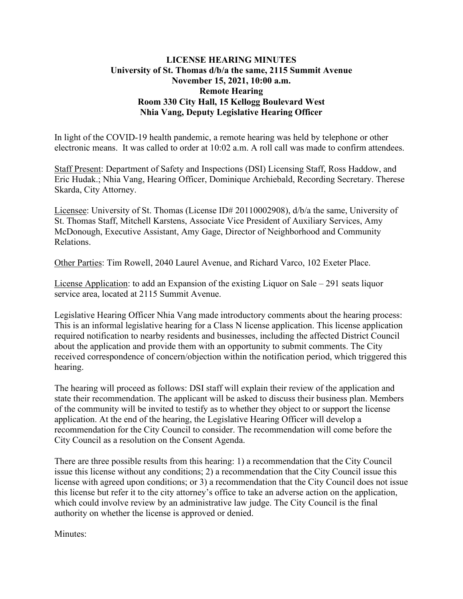# **LICENSE HEARING MINUTES University of St. Thomas d/b/a the same, 2115 Summit Avenue November 15, 2021, 10:00 a.m. Remote Hearing Room 330 City Hall, 15 Kellogg Boulevard West Nhia Vang, Deputy Legislative Hearing Officer**

In light of the COVID-19 health pandemic, a remote hearing was held by telephone or other electronic means. It was called to order at 10:02 a.m. A roll call was made to confirm attendees.

Staff Present: Department of Safety and Inspections (DSI) Licensing Staff, Ross Haddow, and Eric Hudak.; Nhia Vang, Hearing Officer, Dominique Archiebald, Recording Secretary. Therese Skarda, City Attorney.

Licensee: University of St. Thomas (License ID# 20110002908), d/b/a the same, University of St. Thomas Staff, Mitchell Karstens, Associate Vice President of Auxiliary Services, Amy McDonough, Executive Assistant, Amy Gage, Director of Neighborhood and Community Relations.

Other Parties: Tim Rowell, 2040 Laurel Avenue, and Richard Varco, 102 Exeter Place.

License Application: to add an Expansion of the existing Liquor on Sale – 291 seats liquor service area, located at 2115 Summit Avenue.

Legislative Hearing Officer Nhia Vang made introductory comments about the hearing process: This is an informal legislative hearing for a Class N license application. This license application required notification to nearby residents and businesses, including the affected District Council about the application and provide them with an opportunity to submit comments. The City received correspondence of concern/objection within the notification period, which triggered this hearing.

The hearing will proceed as follows: DSI staff will explain their review of the application and state their recommendation. The applicant will be asked to discuss their business plan. Members of the community will be invited to testify as to whether they object to or support the license application. At the end of the hearing, the Legislative Hearing Officer will develop a recommendation for the City Council to consider. The recommendation will come before the City Council as a resolution on the Consent Agenda.

There are three possible results from this hearing: 1) a recommendation that the City Council issue this license without any conditions; 2) a recommendation that the City Council issue this license with agreed upon conditions; or 3) a recommendation that the City Council does not issue this license but refer it to the city attorney's office to take an adverse action on the application, which could involve review by an administrative law judge. The City Council is the final authority on whether the license is approved or denied.

Minutes: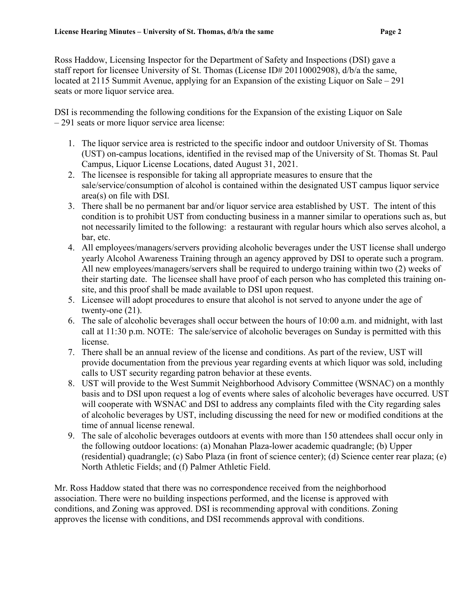Ross Haddow, Licensing Inspector for the Department of Safety and Inspections (DSI) gave a staff report for licensee University of St. Thomas (License ID# 20110002908), d/b/a the same, located at 2115 Summit Avenue, applying for an Expansion of the existing Liquor on Sale – 291 seats or more liquor service area.

DSI is recommending the following conditions for the Expansion of the existing Liquor on Sale – 291 seats or more liquor service area license:

- 1. The liquor service area is restricted to the specific indoor and outdoor University of St. Thomas (UST) on-campus locations, identified in the revised map of the University of St. Thomas St. Paul Campus, Liquor License Locations, dated August 31, 2021.
- 2. The licensee is responsible for taking all appropriate measures to ensure that the sale/service/consumption of alcohol is contained within the designated UST campus liquor service area(s) on file with DSI.
- 3. There shall be no permanent bar and/or liquor service area established by UST. The intent of this condition is to prohibit UST from conducting business in a manner similar to operations such as, but not necessarily limited to the following: a restaurant with regular hours which also serves alcohol, a bar, etc.
- 4. All employees/managers/servers providing alcoholic beverages under the UST license shall undergo yearly Alcohol Awareness Training through an agency approved by DSI to operate such a program. All new employees/managers/servers shall be required to undergo training within two (2) weeks of their starting date. The licensee shall have proof of each person who has completed this training onsite, and this proof shall be made available to DSI upon request.
- 5. Licensee will adopt procedures to ensure that alcohol is not served to anyone under the age of twenty-one (21).
- 6. The sale of alcoholic beverages shall occur between the hours of 10:00 a.m. and midnight, with last call at 11:30 p.m. NOTE: The sale/service of alcoholic beverages on Sunday is permitted with this license.
- 7. There shall be an annual review of the license and conditions. As part of the review, UST will provide documentation from the previous year regarding events at which liquor was sold, including calls to UST security regarding patron behavior at these events.
- 8. UST will provide to the West Summit Neighborhood Advisory Committee (WSNAC) on a monthly basis and to DSI upon request a log of events where sales of alcoholic beverages have occurred. UST will cooperate with WSNAC and DSI to address any complaints filed with the City regarding sales of alcoholic beverages by UST, including discussing the need for new or modified conditions at the time of annual license renewal.
- 9. The sale of alcoholic beverages outdoors at events with more than 150 attendees shall occur only in the following outdoor locations: (a) Monahan Plaza-lower academic quadrangle; (b) Upper (residential) quadrangle; (c) Sabo Plaza (in front of science center); (d) Science center rear plaza; (e) North Athletic Fields; and (f) Palmer Athletic Field.

Mr. Ross Haddow stated that there was no correspondence received from the neighborhood association. There were no building inspections performed, and the license is approved with conditions, and Zoning was approved. DSI is recommending approval with conditions. Zoning approves the license with conditions, and DSI recommends approval with conditions.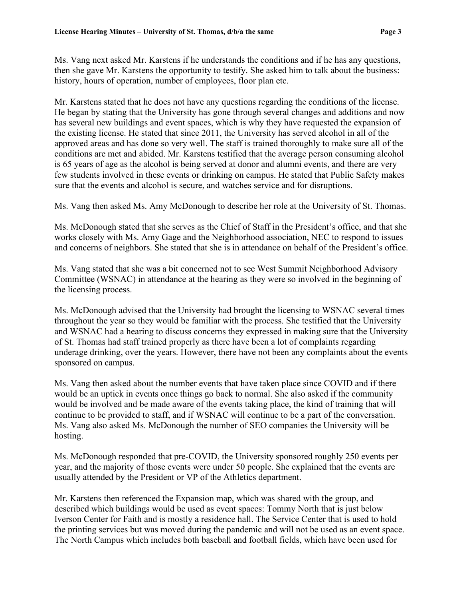Ms. Vang next asked Mr. Karstens if he understands the conditions and if he has any questions, then she gave Mr. Karstens the opportunity to testify. She asked him to talk about the business: history, hours of operation, number of employees, floor plan etc.

Mr. Karstens stated that he does not have any questions regarding the conditions of the license. He began by stating that the University has gone through several changes and additions and now has several new buildings and event spaces, which is why they have requested the expansion of the existing license. He stated that since 2011, the University has served alcohol in all of the approved areas and has done so very well. The staff is trained thoroughly to make sure all of the conditions are met and abided. Mr. Karstens testified that the average person consuming alcohol is 65 years of age as the alcohol is being served at donor and alumni events, and there are very few students involved in these events or drinking on campus. He stated that Public Safety makes sure that the events and alcohol is secure, and watches service and for disruptions.

Ms. Vang then asked Ms. Amy McDonough to describe her role at the University of St. Thomas.

Ms. McDonough stated that she serves as the Chief of Staff in the President's office, and that she works closely with Ms. Amy Gage and the Neighborhood association, NEC to respond to issues and concerns of neighbors. She stated that she is in attendance on behalf of the President's office.

Ms. Vang stated that she was a bit concerned not to see West Summit Neighborhood Advisory Committee (WSNAC) in attendance at the hearing as they were so involved in the beginning of the licensing process.

Ms. McDonough advised that the University had brought the licensing to WSNAC several times throughout the year so they would be familiar with the process. She testified that the University and WSNAC had a hearing to discuss concerns they expressed in making sure that the University of St. Thomas had staff trained properly as there have been a lot of complaints regarding underage drinking, over the years. However, there have not been any complaints about the events sponsored on campus.

Ms. Vang then asked about the number events that have taken place since COVID and if there would be an uptick in events once things go back to normal. She also asked if the community would be involved and be made aware of the events taking place, the kind of training that will continue to be provided to staff, and if WSNAC will continue to be a part of the conversation. Ms. Vang also asked Ms. McDonough the number of SEO companies the University will be hosting.

Ms. McDonough responded that pre-COVID, the University sponsored roughly 250 events per year, and the majority of those events were under 50 people. She explained that the events are usually attended by the President or VP of the Athletics department.

Mr. Karstens then referenced the Expansion map, which was shared with the group, and described which buildings would be used as event spaces: Tommy North that is just below Iverson Center for Faith and is mostly a residence hall. The Service Center that is used to hold the printing services but was moved during the pandemic and will not be used as an event space. The North Campus which includes both baseball and football fields, which have been used for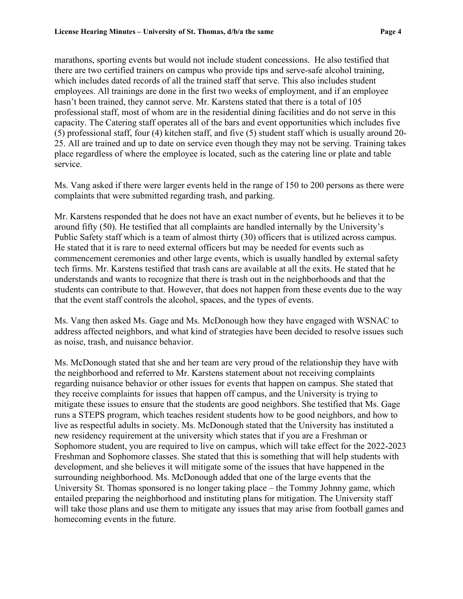marathons, sporting events but would not include student concessions. He also testified that there are two certified trainers on campus who provide tips and serve-safe alcohol training, which includes dated records of all the trained staff that serve. This also includes student employees. All trainings are done in the first two weeks of employment, and if an employee hasn't been trained, they cannot serve. Mr. Karstens stated that there is a total of 105 professional staff, most of whom are in the residential dining facilities and do not serve in this capacity. The Catering staff operates all of the bars and event opportunities which includes five (5) professional staff, four (4) kitchen staff, and five (5) student staff which is usually around 20- 25. All are trained and up to date on service even though they may not be serving. Training takes place regardless of where the employee is located, such as the catering line or plate and table service.

Ms. Vang asked if there were larger events held in the range of 150 to 200 persons as there were complaints that were submitted regarding trash, and parking.

Mr. Karstens responded that he does not have an exact number of events, but he believes it to be around fifty (50). He testified that all complaints are handled internally by the University's Public Safety staff which is a team of almost thirty (30) officers that is utilized across campus. He stated that it is rare to need external officers but may be needed for events such as commencement ceremonies and other large events, which is usually handled by external safety tech firms. Mr. Karstens testified that trash cans are available at all the exits. He stated that he understands and wants to recognize that there is trash out in the neighborhoods and that the students can contribute to that. However, that does not happen from these events due to the way that the event staff controls the alcohol, spaces, and the types of events.

Ms. Vang then asked Ms. Gage and Ms. McDonough how they have engaged with WSNAC to address affected neighbors, and what kind of strategies have been decided to resolve issues such as noise, trash, and nuisance behavior.

Ms. McDonough stated that she and her team are very proud of the relationship they have with the neighborhood and referred to Mr. Karstens statement about not receiving complaints regarding nuisance behavior or other issues for events that happen on campus. She stated that they receive complaints for issues that happen off campus, and the University is trying to mitigate these issues to ensure that the students are good neighbors. She testified that Ms. Gage runs a STEPS program, which teaches resident students how to be good neighbors, and how to live as respectful adults in society. Ms. McDonough stated that the University has instituted a new residency requirement at the university which states that if you are a Freshman or Sophomore student, you are required to live on campus, which will take effect for the 2022-2023 Freshman and Sophomore classes. She stated that this is something that will help students with development, and she believes it will mitigate some of the issues that have happened in the surrounding neighborhood. Ms. McDonough added that one of the large events that the University St. Thomas sponsored is no longer taking place – the Tommy Johnny game, which entailed preparing the neighborhood and instituting plans for mitigation. The University staff will take those plans and use them to mitigate any issues that may arise from football games and homecoming events in the future.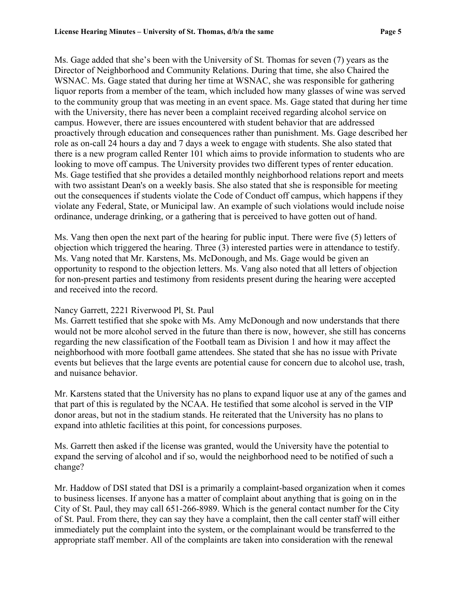Ms. Gage added that she's been with the University of St. Thomas for seven (7) years as the Director of Neighborhood and Community Relations. During that time, she also Chaired the WSNAC. Ms. Gage stated that during her time at WSNAC, she was responsible for gathering liquor reports from a member of the team, which included how many glasses of wine was served to the community group that was meeting in an event space. Ms. Gage stated that during her time with the University, there has never been a complaint received regarding alcohol service on campus. However, there are issues encountered with student behavior that are addressed proactively through education and consequences rather than punishment. Ms. Gage described her role as on-call 24 hours a day and 7 days a week to engage with students. She also stated that there is a new program called Renter 101 which aims to provide information to students who are looking to move off campus. The University provides two different types of renter education. Ms. Gage testified that she provides a detailed monthly neighborhood relations report and meets with two assistant Dean's on a weekly basis. She also stated that she is responsible for meeting out the consequences if students violate the Code of Conduct off campus, which happens if they violate any Federal, State, or Municipal law. An example of such violations would include noise ordinance, underage drinking, or a gathering that is perceived to have gotten out of hand.

Ms. Vang then open the next part of the hearing for public input. There were five (5) letters of objection which triggered the hearing. Three (3) interested parties were in attendance to testify. Ms. Vang noted that Mr. Karstens, Ms. McDonough, and Ms. Gage would be given an opportunity to respond to the objection letters. Ms. Vang also noted that all letters of objection for non-present parties and testimony from residents present during the hearing were accepted and received into the record.

#### Nancy Garrett, 2221 Riverwood Pl, St. Paul

Ms. Garrett testified that she spoke with Ms. Amy McDonough and now understands that there would not be more alcohol served in the future than there is now, however, she still has concerns regarding the new classification of the Football team as Division 1 and how it may affect the neighborhood with more football game attendees. She stated that she has no issue with Private events but believes that the large events are potential cause for concern due to alcohol use, trash, and nuisance behavior.

Mr. Karstens stated that the University has no plans to expand liquor use at any of the games and that part of this is regulated by the NCAA. He testified that some alcohol is served in the VIP donor areas, but not in the stadium stands. He reiterated that the University has no plans to expand into athletic facilities at this point, for concessions purposes.

Ms. Garrett then asked if the license was granted, would the University have the potential to expand the serving of alcohol and if so, would the neighborhood need to be notified of such a change?

Mr. Haddow of DSI stated that DSI is a primarily a complaint-based organization when it comes to business licenses. If anyone has a matter of complaint about anything that is going on in the City of St. Paul, they may call 651-266-8989. Which is the general contact number for the City of St. Paul. From there, they can say they have a complaint, then the call center staff will either immediately put the complaint into the system, or the complainant would be transferred to the appropriate staff member. All of the complaints are taken into consideration with the renewal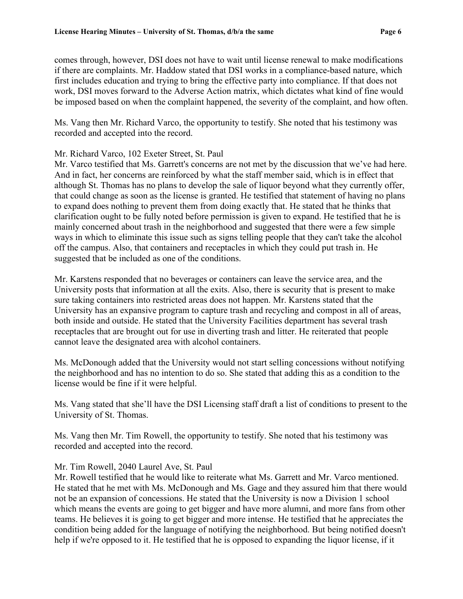comes through, however, DSI does not have to wait until license renewal to make modifications if there are complaints. Mr. Haddow stated that DSI works in a compliance-based nature, which first includes education and trying to bring the effective party into compliance. If that does not work, DSI moves forward to the Adverse Action matrix, which dictates what kind of fine would be imposed based on when the complaint happened, the severity of the complaint, and how often.

Ms. Vang then Mr. Richard Varco, the opportunity to testify. She noted that his testimony was recorded and accepted into the record.

### Mr. Richard Varco, 102 Exeter Street, St. Paul

Mr. Varco testified that Ms. Garrett's concerns are not met by the discussion that we've had here. And in fact, her concerns are reinforced by what the staff member said, which is in effect that although St. Thomas has no plans to develop the sale of liquor beyond what they currently offer, that could change as soon as the license is granted. He testified that statement of having no plans to expand does nothing to prevent them from doing exactly that. He stated that he thinks that clarification ought to be fully noted before permission is given to expand. He testified that he is mainly concerned about trash in the neighborhood and suggested that there were a few simple ways in which to eliminate this issue such as signs telling people that they can't take the alcohol off the campus. Also, that containers and receptacles in which they could put trash in. He suggested that be included as one of the conditions.

Mr. Karstens responded that no beverages or containers can leave the service area, and the University posts that information at all the exits. Also, there is security that is present to make sure taking containers into restricted areas does not happen. Mr. Karstens stated that the University has an expansive program to capture trash and recycling and compost in all of areas, both inside and outside. He stated that the University Facilities department has several trash receptacles that are brought out for use in diverting trash and litter. He reiterated that people cannot leave the designated area with alcohol containers.

Ms. McDonough added that the University would not start selling concessions without notifying the neighborhood and has no intention to do so. She stated that adding this as a condition to the license would be fine if it were helpful.

Ms. Vang stated that she'll have the DSI Licensing staff draft a list of conditions to present to the University of St. Thomas.

Ms. Vang then Mr. Tim Rowell, the opportunity to testify. She noted that his testimony was recorded and accepted into the record.

# Mr. Tim Rowell, 2040 Laurel Ave, St. Paul

Mr. Rowell testified that he would like to reiterate what Ms. Garrett and Mr. Varco mentioned. He stated that he met with Ms. McDonough and Ms. Gage and they assured him that there would not be an expansion of concessions. He stated that the University is now a Division 1 school which means the events are going to get bigger and have more alumni, and more fans from other teams. He believes it is going to get bigger and more intense. He testified that he appreciates the condition being added for the language of notifying the neighborhood. But being notified doesn't help if we're opposed to it. He testified that he is opposed to expanding the liquor license, if it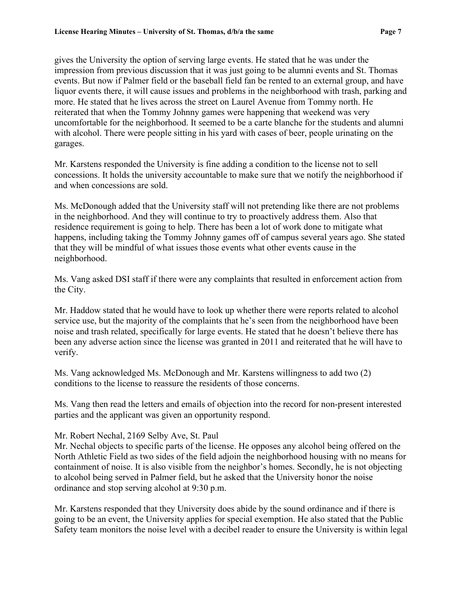gives the University the option of serving large events. He stated that he was under the impression from previous discussion that it was just going to be alumni events and St. Thomas events. But now if Palmer field or the baseball field fan be rented to an external group, and have liquor events there, it will cause issues and problems in the neighborhood with trash, parking and more. He stated that he lives across the street on Laurel Avenue from Tommy north. He reiterated that when the Tommy Johnny games were happening that weekend was very uncomfortable for the neighborhood. It seemed to be a carte blanche for the students and alumni with alcohol. There were people sitting in his yard with cases of beer, people urinating on the garages.

Mr. Karstens responded the University is fine adding a condition to the license not to sell concessions. It holds the university accountable to make sure that we notify the neighborhood if and when concessions are sold.

Ms. McDonough added that the University staff will not pretending like there are not problems in the neighborhood. And they will continue to try to proactively address them. Also that residence requirement is going to help. There has been a lot of work done to mitigate what happens, including taking the Tommy Johnny games off of campus several years ago. She stated that they will be mindful of what issues those events what other events cause in the neighborhood.

Ms. Vang asked DSI staff if there were any complaints that resulted in enforcement action from the City.

Mr. Haddow stated that he would have to look up whether there were reports related to alcohol service use, but the majority of the complaints that he's seen from the neighborhood have been noise and trash related, specifically for large events. He stated that he doesn't believe there has been any adverse action since the license was granted in 2011 and reiterated that he will have to verify.

Ms. Vang acknowledged Ms. McDonough and Mr. Karstens willingness to add two (2) conditions to the license to reassure the residents of those concerns.

Ms. Vang then read the letters and emails of objection into the record for non-present interested parties and the applicant was given an opportunity respond.

# Mr. Robert Nechal, 2169 Selby Ave, St. Paul

Mr. Nechal objects to specific parts of the license. He opposes any alcohol being offered on the North Athletic Field as two sides of the field adjoin the neighborhood housing with no means for containment of noise. It is also visible from the neighbor's homes. Secondly, he is not objecting to alcohol being served in Palmer field, but he asked that the University honor the noise ordinance and stop serving alcohol at 9:30 p.m.

Mr. Karstens responded that they University does abide by the sound ordinance and if there is going to be an event, the University applies for special exemption. He also stated that the Public Safety team monitors the noise level with a decibel reader to ensure the University is within legal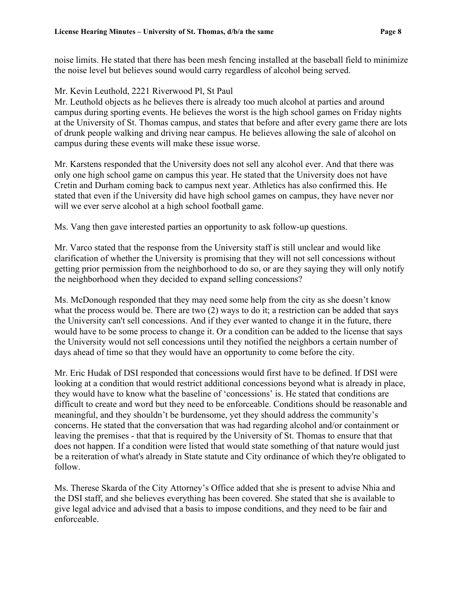noise limits. He stated that there has been mesh fencing installed at the baseball field to minimize the noise level but believes sound would carry regardless of alcohol being served.

### Mr. Kevin Leuthold, 2221 Riverwood Pl, St Paul

Mr. Leuthold objects as he believes there is already too much alcohol at parties and around campus during sporting events. He believes the worst is the high school games on Friday nights at the University of St. Thomas campus, and states that before and after every game there are lots of drunk people walking and driving near campus. He believes allowing the sale of alcohol on campus during these events will make these issue worse.

Mr. Karstens responded that the University does not sell any alcohol ever. And that there was only one high school game on campus this year. He stated that the University does not have Cretin and Durham coming back to campus next year. Athletics has also confirmed this. He stated that even if the University did have high school games on campus, they have never nor will we ever serve alcohol at a high school football game.

Ms. Vang then gave interested parties an opportunity to ask follow-up questions.

Mr. Varco stated that the response from the University staff is still unclear and would like clarification of whether the University is promising that they will not sell concessions without getting prior permission from the neighborhood to do so, or are they saying they will only notify the neighborhood when they decided to expand selling concessions?

Ms. McDonough responded that they may need some help from the city as she doesn't know what the process would be. There are two (2) ways to do it; a restriction can be added that says the University can't sell concessions. And if they ever wanted to change it in the future, there would have to be some process to change it. Or a condition can be added to the license that says the University would not sell concessions until they notified the neighbors a certain number of days ahead of time so that they would have an opportunity to come before the city.

Mr. Eric Hudak of DSI responded that concessions would first have to be defined. If DSI were looking at a condition that would restrict additional concessions beyond what is already in place, they would have to know what the baseline of 'concessions' is. He stated that conditions are difficult to create and word but they need to be enforceable. Conditions should be reasonable and meaningful, and they shouldn't be burdensome, yet they should address the community's concerns. He stated that the conversation that was had regarding alcohol and/or containment or leaving the premises - that that is required by the University of St. Thomas to ensure that that does not happen. If a condition were listed that would state something of that nature would just be a reiteration of what's already in State statute and City ordinance of which they're obligated to follow.

Ms. Therese Skarda of the City Attorney's Office added that she is present to advise Nhia and the DSI staff, and she believes everything has been covered. She stated that she is available to give legal advice and advised that a basis to impose conditions, and they need to be fair and enforceable.